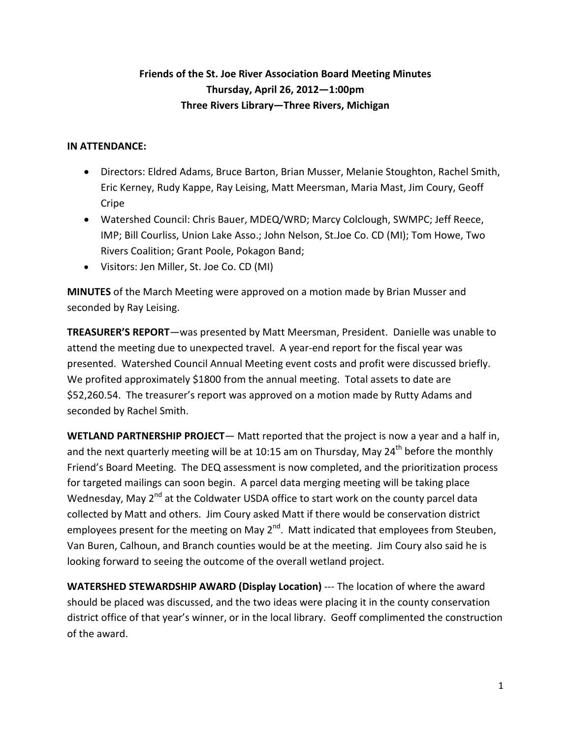## **Friends of the St. Joe River Association Board Meeting Minutes Thursday, April 26, 2012—1:00pm Three Rivers Library—Three Rivers, Michigan**

## **IN ATTENDANCE:**

- Directors: Eldred Adams, Bruce Barton, Brian Musser, Melanie Stoughton, Rachel Smith, Eric Kerney, Rudy Kappe, Ray Leising, Matt Meersman, Maria Mast, Jim Coury, Geoff Cripe
- Watershed Council: Chris Bauer, MDEQ/WRD; Marcy Colclough, SWMPC; Jeff Reece, IMP; Bill Courliss, Union Lake Asso.; John Nelson, St.Joe Co. CD (MI); Tom Howe, Two Rivers Coalition; Grant Poole, Pokagon Band;
- Visitors: Jen Miller, St. Joe Co. CD (MI)

**MINUTES** of the March Meeting were approved on a motion made by Brian Musser and seconded by Ray Leising.

**TREASURER'S REPORT**—was presented by Matt Meersman, President. Danielle was unable to attend the meeting due to unexpected travel. A year-end report for the fiscal year was presented. Watershed Council Annual Meeting event costs and profit were discussed briefly. We profited approximately \$1800 from the annual meeting. Total assets to date are \$52,260.54. The treasurer's report was approved on a motion made by Rutty Adams and seconded by Rachel Smith.

**WETLAND PARTNERSHIP PROJECT**— Matt reported that the project is now a year and a half in, and the next quarterly meeting will be at 10:15 am on Thursday, May 24<sup>th</sup> before the monthly Friend's Board Meeting. The DEQ assessment is now completed, and the prioritization process for targeted mailings can soon begin. A parcel data merging meeting will be taking place Wednesday, May  $2^{nd}$  at the Coldwater USDA office to start work on the county parcel data collected by Matt and others. Jim Coury asked Matt if there would be conservation district employees present for the meeting on May  $2^{nd}$ . Matt indicated that employees from Steuben, Van Buren, Calhoun, and Branch counties would be at the meeting. Jim Coury also said he is looking forward to seeing the outcome of the overall wetland project.

**WATERSHED STEWARDSHIP AWARD (Display Location)** --- The location of where the award should be placed was discussed, and the two ideas were placing it in the county conservation district office of that year's winner, or in the local library. Geoff complimented the construction of the award.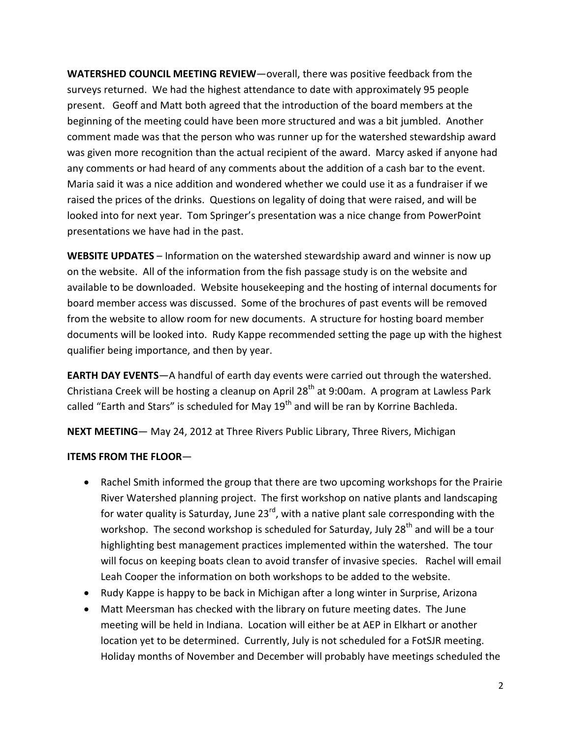**WATERSHED COUNCIL MEETING REVIEW**—overall, there was positive feedback from the surveys returned. We had the highest attendance to date with approximately 95 people present. Geoff and Matt both agreed that the introduction of the board members at the beginning of the meeting could have been more structured and was a bit jumbled. Another comment made was that the person who was runner up for the watershed stewardship award was given more recognition than the actual recipient of the award. Marcy asked if anyone had any comments or had heard of any comments about the addition of a cash bar to the event. Maria said it was a nice addition and wondered whether we could use it as a fundraiser if we raised the prices of the drinks. Questions on legality of doing that were raised, and will be looked into for next year. Tom Springer's presentation was a nice change from PowerPoint presentations we have had in the past.

**WEBSITE UPDATES** – Information on the watershed stewardship award and winner is now up on the website. All of the information from the fish passage study is on the website and available to be downloaded. Website housekeeping and the hosting of internal documents for board member access was discussed. Some of the brochures of past events will be removed from the website to allow room for new documents. A structure for hosting board member documents will be looked into. Rudy Kappe recommended setting the page up with the highest qualifier being importance, and then by year.

**EARTH DAY EVENTS**—A handful of earth day events were carried out through the watershed. Christiana Creek will be hosting a cleanup on April 28<sup>th</sup> at 9:00am. A program at Lawless Park called "Earth and Stars" is scheduled for May 19<sup>th</sup> and will be ran by Korrine Bachleda.

**NEXT MEETING**— May 24, 2012 at Three Rivers Public Library, Three Rivers, Michigan

## **ITEMS FROM THE FLOOR**—

- Rachel Smith informed the group that there are two upcoming workshops for the Prairie River Watershed planning project. The first workshop on native plants and landscaping for water quality is Saturday, June 23 $^{\text{rd}}$ , with a native plant sale corresponding with the workshop. The second workshop is scheduled for Saturday, July 28<sup>th</sup> and will be a tour highlighting best management practices implemented within the watershed. The tour will focus on keeping boats clean to avoid transfer of invasive species. Rachel will email Leah Cooper the information on both workshops to be added to the website.
- Rudy Kappe is happy to be back in Michigan after a long winter in Surprise, Arizona
- Matt Meersman has checked with the library on future meeting dates. The June meeting will be held in Indiana. Location will either be at AEP in Elkhart or another location yet to be determined. Currently, July is not scheduled for a FotSJR meeting. Holiday months of November and December will probably have meetings scheduled the